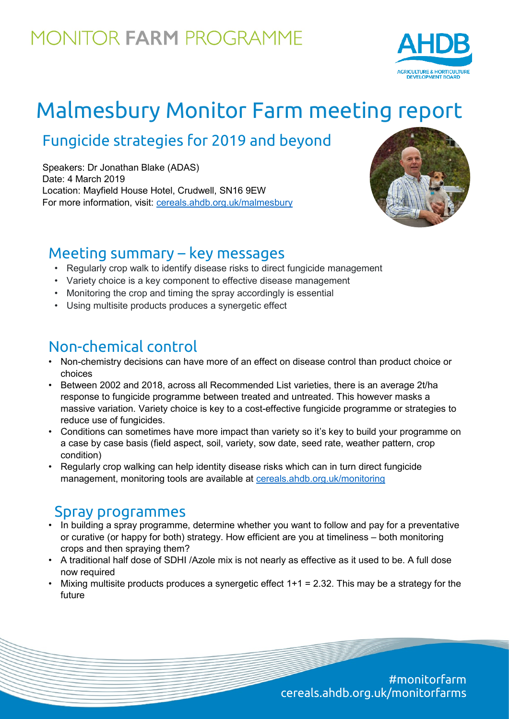## **MONITOR FARM PROGRAMME**



# Malmesbury Monitor Farm meeting report

## Fungicide strategies for 2019 and beyond

Speakers: Dr Jonathan Blake (ADAS) Date: 4 March 2019 Location: Mayfield House Hotel, Crudwell, SN16 9EW For more information, visit: [cereals.ahdb.org.uk/malmesbury](https://cereals.ahdb.org.uk/malmesbury)



#### Meeting summary – key messages

- Regularly crop walk to identify disease risks to direct fungicide management
- Variety choice is a key component to effective disease management
- Monitoring the crop and timing the spray accordingly is essential
- Using multisite products produces a synergetic effect

### Non-chemical control

- Non-chemistry decisions can have more of an effect on disease control than product choice or choices
- Between 2002 and 2018, across all Recommended List varieties, there is an average 2t/ha response to fungicide programme between treated and untreated. This however masks a massive variation. Variety choice is key to a cost-effective fungicide programme or strategies to reduce use of fungicides.
- Conditions can sometimes have more impact than variety so it's key to build your programme on a case by case basis (field aspect, soil, variety, sow date, seed rate, weather pattern, crop condition)
- Regularly crop walking can help identity disease risks which can in turn direct fungicide management, monitoring tools are available at [cereals.ahdb.org.uk/monitoring](https://cereals.ahdb.org.uk/monitoring/)

### Spray programmes

- In building a spray programme, determine whether you want to follow and pay for a preventative or curative (or happy for both) strategy. How efficient are you at timeliness – both monitoring crops and then spraying them?
- A traditional half dose of SDHI /Azole mix is not nearly as effective as it used to be. A full dose now required
- Mixing multisite products produces a synergetic effect  $1+1 = 2.32$ . This may be a strategy for the future

#monitorfarm cereals.ahdb.org.uk/monitorfarms